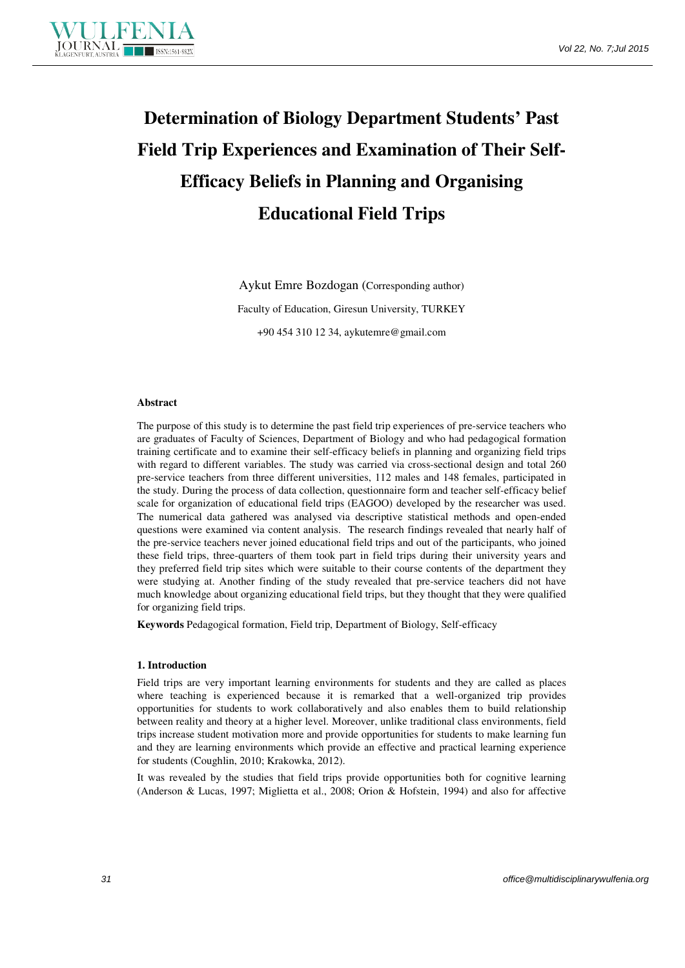

# **Determination of Biology Department Students' Past Field Trip Experiences and Examination of Their Self-Efficacy Beliefs in Planning and Organising Educational Field Trips**

Aykut Emre Bozdogan (Corresponding author)

Faculty of Education, Giresun University, TURKEY

+90 454 310 12 34, aykutemre@gmail.com

#### **Abstract**

The purpose of this study is to determine the past field trip experiences of pre-service teachers who are graduates of Faculty of Sciences, Department of Biology and who had pedagogical formation training certificate and to examine their self-efficacy beliefs in planning and organizing field trips with regard to different variables. The study was carried via cross-sectional design and total 260 pre-service teachers from three different universities, 112 males and 148 females, participated in the study. During the process of data collection, questionnaire form and teacher self-efficacy belief scale for organization of educational field trips (EAGOO) developed by the researcher was used. The numerical data gathered was analysed via descriptive statistical methods and open-ended questions were examined via content analysis. The research findings revealed that nearly half of the pre-service teachers never joined educational field trips and out of the participants, who joined these field trips, three-quarters of them took part in field trips during their university years and they preferred field trip sites which were suitable to their course contents of the department they were studying at. Another finding of the study revealed that pre-service teachers did not have much knowledge about organizing educational field trips, but they thought that they were qualified for organizing field trips.

**Keywords** Pedagogical formation, Field trip, Department of Biology, Self-efficacy

# **1. Introduction**

Field trips are very important learning environments for students and they are called as places where teaching is experienced because it is remarked that a well-organized trip provides opportunities for students to work collaboratively and also enables them to build relationship between reality and theory at a higher level. Moreover, unlike traditional class environments, field trips increase student motivation more and provide opportunities for students to make learning fun and they are learning environments which provide an effective and practical learning experience for students (Coughlin, 2010; Krakowka, 2012).

It was revealed by the studies that field trips provide opportunities both for cognitive learning (Anderson & Lucas, 1997; Miglietta et al., 2008; Orion & Hofstein, 1994) and also for affective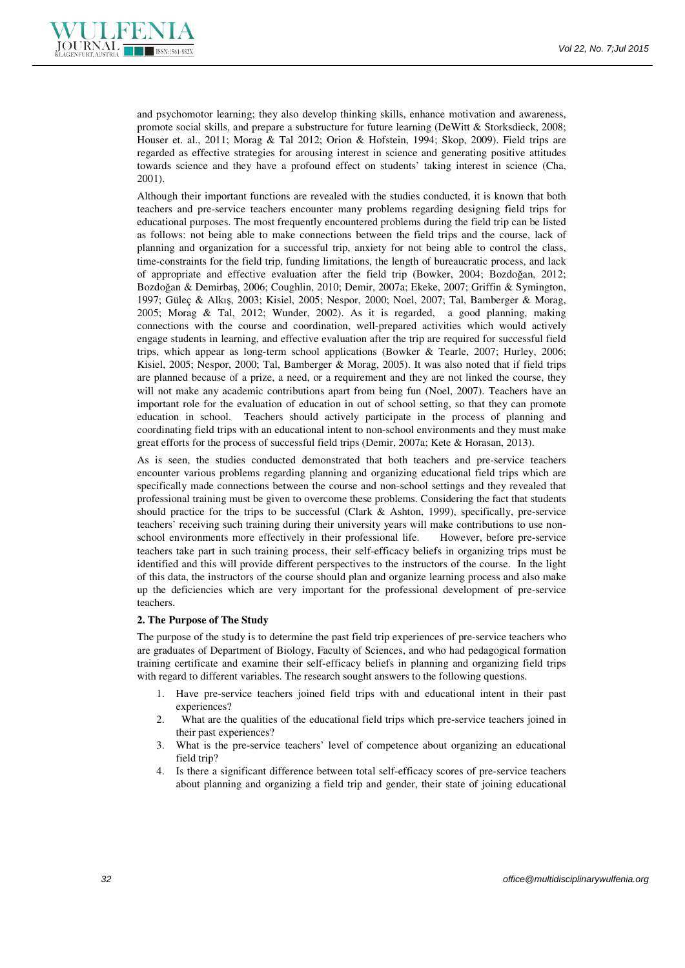

and psychomotor learning; they also develop thinking skills, enhance motivation and awareness, promote social skills, and prepare a substructure for future learning (DeWitt & Storksdieck, 2008; Houser et. al., 2011; Morag & Tal 2012; Orion & Hofstein, 1994; Skop, 2009). Field trips are regarded as effective strategies for arousing interest in science and generating positive attitudes towards science and they have a profound effect on students' taking interest in science (Cha, 2001).

Although their important functions are revealed with the studies conducted, it is known that both teachers and pre-service teachers encounter many problems regarding designing field trips for educational purposes. The most frequently encountered problems during the field trip can be listed as follows: not being able to make connections between the field trips and the course, lack of planning and organization for a successful trip, anxiety for not being able to control the class, time-constraints for the field trip, funding limitations, the length of bureaucratic process, and lack of appropriate and effective evaluation after the field trip (Bowker, 2004; Bozdoğan, 2012; Bozdoğan & Demirbaş, 2006; Coughlin, 2010; Demir, 2007a; Ekeke, 2007; Griffin & Symington, 1997; Güleç & Alkış, 2003; Kisiel, 2005; Nespor, 2000; Noel, 2007; Tal, Bamberger & Morag, 2005; Morag & Tal, 2012; Wunder, 2002). As it is regarded, a good planning, making connections with the course and coordination, well-prepared activities which would actively engage students in learning, and effective evaluation after the trip are required for successful field trips, which appear as long-term school applications (Bowker & Tearle, 2007; Hurley, 2006; Kisiel, 2005; Nespor, 2000; Tal, Bamberger & Morag, 2005). It was also noted that if field trips are planned because of a prize, a need, or a requirement and they are not linked the course, they will not make any academic contributions apart from being fun (Noel, 2007). Teachers have an important role for the evaluation of education in out of school setting, so that they can promote education in school. Teachers should actively participate in the process of planning and coordinating field trips with an educational intent to non-school environments and they must make great efforts for the process of successful field trips (Demir, 2007a; Kete & Horasan, 2013).

As is seen, the studies conducted demonstrated that both teachers and pre-service teachers encounter various problems regarding planning and organizing educational field trips which are specifically made connections between the course and non-school settings and they revealed that professional training must be given to overcome these problems. Considering the fact that students should practice for the trips to be successful (Clark  $\&$  Ashton, 1999), specifically, pre-service teachers' receiving such training during their university years will make contributions to use nonschool environments more effectively in their professional life. However, before pre-service teachers take part in such training process, their self-efficacy beliefs in organizing trips must be identified and this will provide different perspectives to the instructors of the course. In the light of this data, the instructors of the course should plan and organize learning process and also make up the deficiencies which are very important for the professional development of pre-service teachers.

#### **2. The Purpose of The Study**

The purpose of the study is to determine the past field trip experiences of pre-service teachers who are graduates of Department of Biology, Faculty of Sciences, and who had pedagogical formation training certificate and examine their self-efficacy beliefs in planning and organizing field trips with regard to different variables. The research sought answers to the following questions.

- 1. Have pre-service teachers joined field trips with and educational intent in their past experiences?
- 2. What are the qualities of the educational field trips which pre-service teachers joined in their past experiences?
- 3. What is the pre-service teachers' level of competence about organizing an educational field trip?
- 4. Is there a significant difference between total self-efficacy scores of pre-service teachers about planning and organizing a field trip and gender, their state of joining educational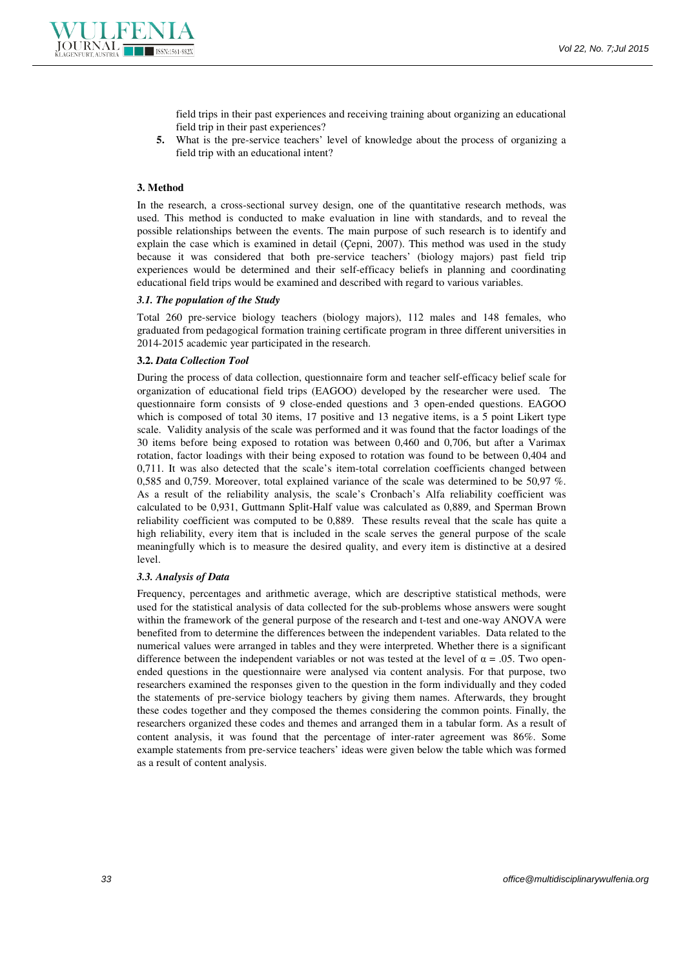

field trips in their past experiences and receiving training about organizing an educational field trip in their past experiences?

**5.** What is the pre-service teachers' level of knowledge about the process of organizing a field trip with an educational intent?

## **3. Method**

In the research, a cross-sectional survey design, one of the quantitative research methods, was used. This method is conducted to make evaluation in line with standards, and to reveal the possible relationships between the events. The main purpose of such research is to identify and explain the case which is examined in detail (Çepni, 2007). This method was used in the study because it was considered that both pre-service teachers' (biology majors) past field trip experiences would be determined and their self-efficacy beliefs in planning and coordinating educational field trips would be examined and described with regard to various variables.

# *3.1. The population of the Study*

Total 260 pre-service biology teachers (biology majors), 112 males and 148 females, who graduated from pedagogical formation training certificate program in three different universities in 2014-2015 academic year participated in the research.

#### **3.2.** *Data Collection Tool*

During the process of data collection, questionnaire form and teacher self-efficacy belief scale for organization of educational field trips (EAGOO) developed by the researcher were used. The questionnaire form consists of 9 close-ended questions and 3 open-ended questions. EAGOO which is composed of total 30 items, 17 positive and 13 negative items, is a 5 point Likert type scale. Validity analysis of the scale was performed and it was found that the factor loadings of the 30 items before being exposed to rotation was between 0,460 and 0,706, but after a Varimax rotation, factor loadings with their being exposed to rotation was found to be between 0,404 and 0,711. It was also detected that the scale's item-total correlation coefficients changed between 0,585 and 0,759. Moreover, total explained variance of the scale was determined to be 50,97 %. As a result of the reliability analysis, the scale's Cronbach's Alfa reliability coefficient was calculated to be 0,931, Guttmann Split-Half value was calculated as 0,889, and Sperman Brown reliability coefficient was computed to be 0,889. These results reveal that the scale has quite a high reliability, every item that is included in the scale serves the general purpose of the scale meaningfully which is to measure the desired quality, and every item is distinctive at a desired level.

#### *3.3. Analysis of Data*

Frequency, percentages and arithmetic average, which are descriptive statistical methods, were used for the statistical analysis of data collected for the sub-problems whose answers were sought within the framework of the general purpose of the research and t-test and one-way ANOVA were benefited from to determine the differences between the independent variables. Data related to the numerical values were arranged in tables and they were interpreted. Whether there is a significant difference between the independent variables or not was tested at the level of  $\alpha = .05$ . Two openended questions in the questionnaire were analysed via content analysis. For that purpose, two researchers examined the responses given to the question in the form individually and they coded the statements of pre-service biology teachers by giving them names. Afterwards, they brought these codes together and they composed the themes considering the common points. Finally, the researchers organized these codes and themes and arranged them in a tabular form. As a result of content analysis, it was found that the percentage of inter-rater agreement was 86%. Some example statements from pre-service teachers' ideas were given below the table which was formed as a result of content analysis.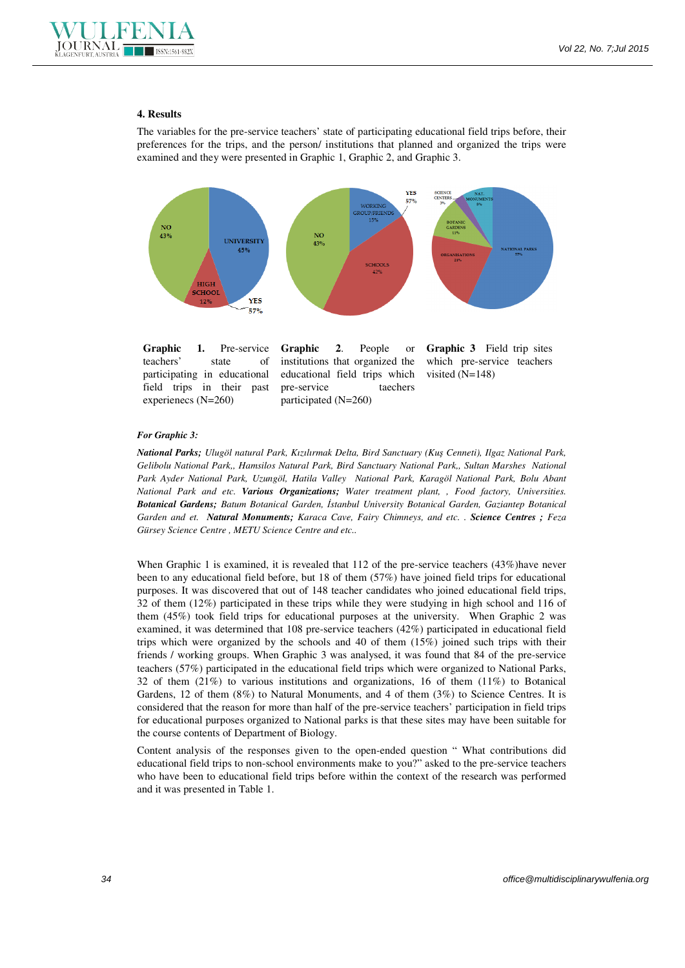

#### **4. Results**

The variables for the pre-service teachers' state of participating educational field trips before, their preferences for the trips, and the person/ institutions that planned and organized the trips were examined and they were presented in Graphic 1, Graphic 2, and Graphic 3.



Graphic 1. Pre-service teachers' state of participating in educational field trips in their past experienecs (N=260)

**Graphic 2**. People or institutions that organized the educational field trips which pre-service taechers participated (N=260)

**Graphic 3** Field trip sites which pre-service teachers visited (N=148)

#### *For Graphic 3:*

*National Parks; Ulugöl natural Park, Kızılırmak Delta, Bird Sanctuary (Kuş Cenneti), Ilgaz National Park, Gelibolu National Park,, Hamsilos Natural Park, Bird Sanctuary National Park,, Sultan Marshes National Park Ayder National Park, Uzungöl, Hatila Valley National Park, Karagöl National Park, Bolu Abant National Park and etc. Various Organizations; Water treatment plant, , Food factory, Universities. Botanical Gardens; Batum Botanical Garden, Đstanbul University Botanical Garden, Gaziantep Botanical Garden and et. Natural Monuments; Karaca Cave, Fairy Chimneys, and etc. . Science Centres ; Feza Gürsey Science Centre , METU Science Centre and etc..* 

When Graphic 1 is examined, it is revealed that 112 of the pre-service teachers (43%)have never been to any educational field before, but 18 of them (57%) have joined field trips for educational purposes. It was discovered that out of 148 teacher candidates who joined educational field trips, 32 of them (12%) participated in these trips while they were studying in high school and 116 of them (45%) took field trips for educational purposes at the university. When Graphic 2 was examined, it was determined that 108 pre-service teachers (42%) participated in educational field trips which were organized by the schools and 40 of them (15%) joined such trips with their friends / working groups. When Graphic 3 was analysed, it was found that 84 of the pre-service teachers (57%) participated in the educational field trips which were organized to National Parks, 32 of them (21%) to various institutions and organizations, 16 of them (11%) to Botanical Gardens, 12 of them  $(8\%)$  to Natural Monuments, and 4 of them  $(3\%)$  to Science Centres. It is considered that the reason for more than half of the pre-service teachers' participation in field trips for educational purposes organized to National parks is that these sites may have been suitable for the course contents of Department of Biology.

Content analysis of the responses given to the open-ended question " What contributions did educational field trips to non-school environments make to you?" asked to the pre-service teachers who have been to educational field trips before within the context of the research was performed and it was presented in Table 1.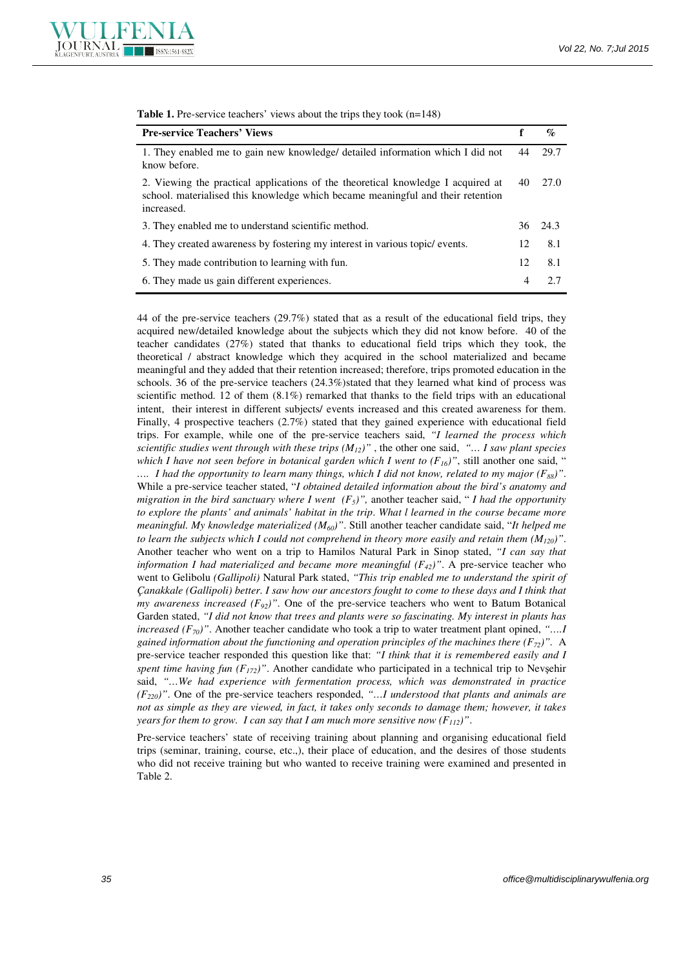

| <b>Pre-service Teachers' Views</b>                                                                                                                                                | f  | $\mathcal{G}_{\mathcal{O}}$ |
|-----------------------------------------------------------------------------------------------------------------------------------------------------------------------------------|----|-----------------------------|
| 1. They enabled me to gain new knowledge/ detailed information which I did not<br>know before.                                                                                    | 44 | 29.7                        |
| 2. Viewing the practical applications of the theoretical knowledge I acquired at<br>school, materialised this knowledge which became meaningful and their retention<br>increased. | 40 | 27.0                        |
| 3. They enabled me to understand scientific method.                                                                                                                               |    | 36 24.3                     |
| 4. They created awareness by fostering my interest in various topic/ events.                                                                                                      | 12 | 8.1                         |
| 5. They made contribution to learning with fun.                                                                                                                                   | 12 | 8.1                         |
| 6. They made us gain different experiences.                                                                                                                                       | 4  | 2.7                         |

**Table 1.** Pre-service teachers' views about the trips they took (n=148)

44 of the pre-service teachers (29.7%) stated that as a result of the educational field trips, they acquired new/detailed knowledge about the subjects which they did not know before. 40 of the teacher candidates (27%) stated that thanks to educational field trips which they took, the theoretical / abstract knowledge which they acquired in the school materialized and became meaningful and they added that their retention increased; therefore, trips promoted education in the schools. 36 of the pre-service teachers (24.3%)stated that they learned what kind of process was scientific method. 12 of them  $(8.1\%)$  remarked that thanks to the field trips with an educational intent, their interest in different subjects/ events increased and this created awareness for them. Finally, 4 prospective teachers (2.7%) stated that they gained experience with educational field trips. For example, while one of the pre-service teachers said, *"I learned the process which scientific studies went through with these trips*  $(M_{12})$ *"*, the other one said, *"... I saw plant species which I have not seen before in botanical garden which I went to*  $(F_{16})$ *"*, still another one said, " *…. I had the opportunity to learn many things, which I did not know, related to my major (F88)"*. While a pre-service teacher stated, "*I obtained detailed information about the bird's anatomy and migration in the bird sanctuary where I went*  $(F_5)$ ", another teacher said, "*I had the opportunity to explore the plants' and animals' habitat in the trip*. *What l learned in the course became more meaningful. My knowledge materialized (M60)"*. Still another teacher candidate said, "*It helped me to learn the subjects which I could not comprehend in theory more easily and retain them (M120)"*. Another teacher who went on a trip to Hamilos Natural Park in Sinop stated, *"I can say that information I had materialized and became more meaningful (F<sub>42</sub>)". A pre-service teacher who* went to Gelibolu *(Gallipoli)* Natural Park stated, *"This trip enabled me to understand the spirit of Çanakkale (Gallipoli) better. I saw how our ancestors fought to come to these days and I think that my awareness increased (F92)"*. One of the pre-service teachers who went to Batum Botanical Garden stated, *"I did not know that trees and plants were so fascinating. My interest in plants has increased (F70)"*. Another teacher candidate who took a trip to water treatment plant opined, *"….I gained information about the functioning and operation principles of the machines there*  $(F_{72})$ *".* A pre-service teacher responded this question like that: *"I think that it is remembered easily and I spent time having fun (F172)"*. Another candidate who participated in a technical trip to Nevşehir said, *"…We had experience with fermentation process, which was demonstrated in practice (F220)"*. One of the pre-service teachers responded, *"…I understood that plants and animals are not as simple as they are viewed, in fact, it takes only seconds to damage them; however, it takes years for them to grow. I can say that I am much more sensitive now (F112)"*.

Pre-service teachers' state of receiving training about planning and organising educational field trips (seminar, training, course, etc.,), their place of education, and the desires of those students who did not receive training but who wanted to receive training were examined and presented in Table 2.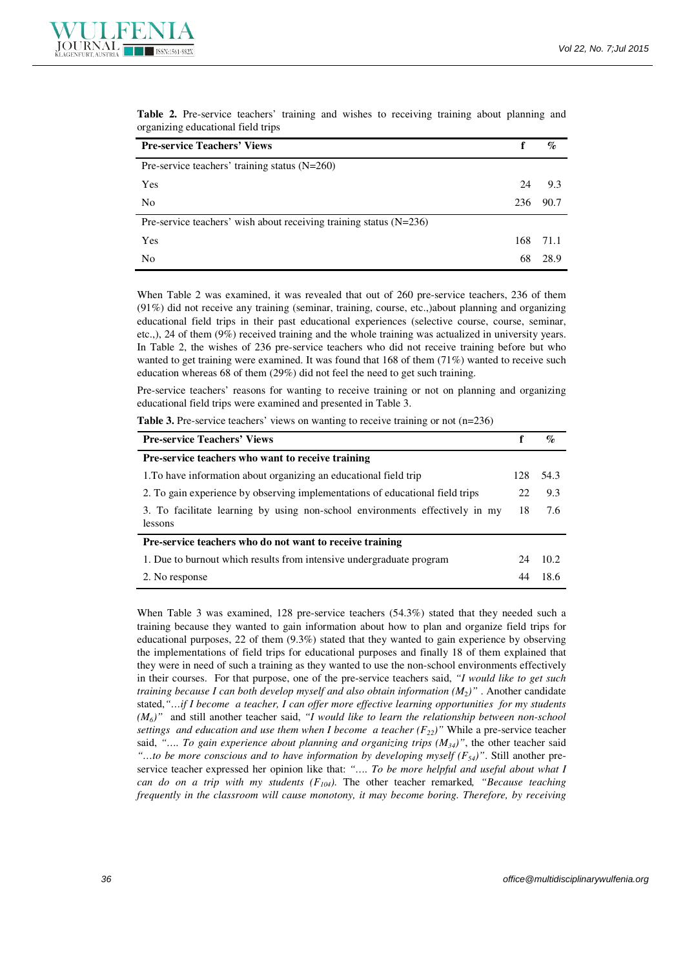| <b>Pre-service Teachers' Views</b>                                 |     | $\%$ |
|--------------------------------------------------------------------|-----|------|
| Pre-service teachers' training status $(N=260)$                    |     |      |
| Yes                                                                | 24  | 9.3  |
| N <sub>0</sub>                                                     | 236 | 90.7 |
| Pre-service teachers' wish about receiving training status (N=236) |     |      |
| Yes                                                                | 168 | 71.1 |
| N <sub>0</sub>                                                     | 68  | 28.9 |

**Table 2.** Pre-service teachers' training and wishes to receiving training about planning and organizing educational field trips

When Table 2 was examined, it was revealed that out of 260 pre-service teachers, 236 of them (91%) did not receive any training (seminar, training, course, etc.,)about planning and organizing educational field trips in their past educational experiences (selective course, course, seminar, etc.,), 24 of them (9%) received training and the whole training was actualized in university years. In Table 2, the wishes of 236 pre-service teachers who did not receive training before but who wanted to get training were examined. It was found that 168 of them (71%) wanted to receive such education whereas 68 of them (29%) did not feel the need to get such training.

Pre-service teachers' reasons for wanting to receive training or not on planning and organizing educational field trips were examined and presented in Table 3.

Table 3. Pre-service teachers' views on wanting to receive training or not (n=236)

| <b>Pre-service Teachers' Views</b>                                                      |     | $\%$  |
|-----------------------------------------------------------------------------------------|-----|-------|
| <b>Pre-service teachers who want to receive training</b>                                |     |       |
| 1. To have information about organizing an educational field trip                       | 128 | 54.3  |
| 2. To gain experience by observing implementations of educational field trips           | 22  | 9.3   |
| 3. To facilitate learning by using non-school environments effectively in my<br>lessons | 18  | 7.6   |
| Pre-service teachers who do not want to receive training                                |     |       |
| 1. Due to burnout which results from intensive undergraduate program                    | 24  | 10.2. |
| 2. No response                                                                          | 44  | 18.6  |

When Table 3 was examined, 128 pre-service teachers (54.3%) stated that they needed such a training because they wanted to gain information about how to plan and organize field trips for educational purposes, 22 of them (9.3%) stated that they wanted to gain experience by observing the implementations of field trips for educational purposes and finally 18 of them explained that they were in need of such a training as they wanted to use the non-school environments effectively in their courses. For that purpose, one of the pre-service teachers said, *"I would like to get such training because I can both develop myself and also obtain information (M<sub>2</sub>)" . Another candidate* stated,*"…if I become a teacher, I can offer more effective learning opportunities for my students (M6)"* and still another teacher said, *"I would like to learn the relationship between non-school settings and education and use them when I become a teacher (F22)"* While a pre-service teacher said, *"…. To gain experience about planning and organizing trips (M34)"*, the other teacher said *"…to be more conscious and to have information by developing myself (F54)"*. Still another preservice teacher expressed her opinion like that: *"…. To be more helpful and useful about what I can do on a trip with my students (F104).* The other teacher remarked*, "Because teaching frequently in the classroom will cause monotony, it may become boring. Therefore, by receiving*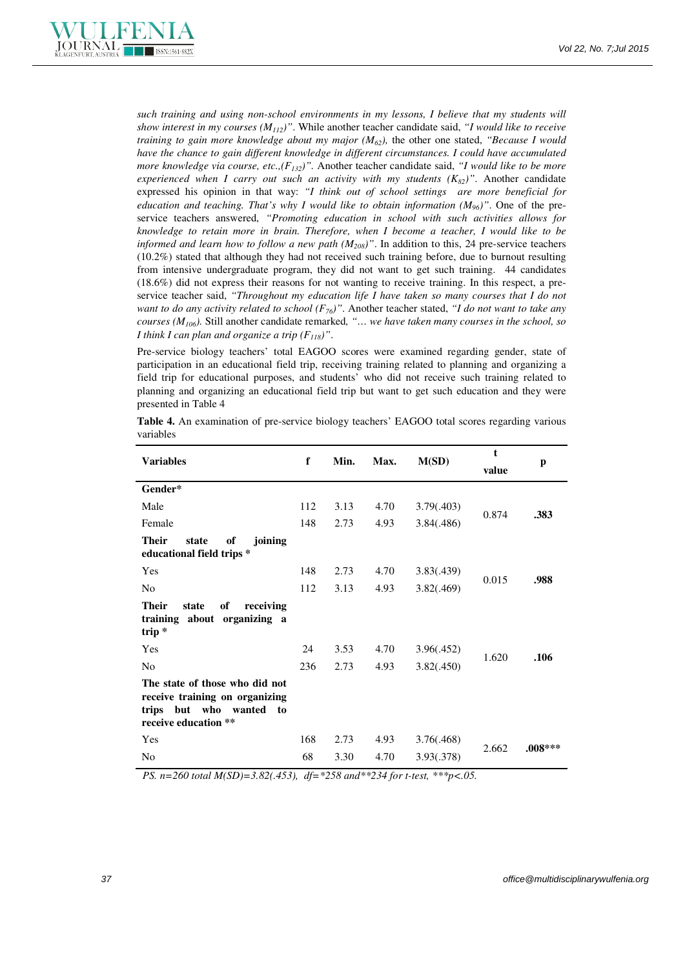

*such training and using non-school environments in my lessons, I believe that my students will show interest in my courses (M112)"*. While another teacher candidate said, *"I would like to receive training to gain more knowledge about my major (M62),* the other one stated, *"Because I would have the chance to gain different knowledge in different circumstances. I could have accumulated more knowledge via course, etc.,(F132)".* Another teacher candidate said, *"I would like to be more experienced when I carry out such an activity with my students*  $(K_{82})$ *"*. Another candidate expressed his opinion in that way: *"I think out of school settings are more beneficial for education and teaching. That's why I would like to obtain information (M96)"*. One of the preservice teachers answered, *"Promoting education in school with such activities allows for knowledge to retain more in brain. Therefore, when I become a teacher, I would like to be informed and learn how to follow a new path (M208)"*. In addition to this, 24 pre-service teachers (10.2%) stated that although they had not received such training before, due to burnout resulting from intensive undergraduate program, they did not want to get such training. 44 candidates (18.6%) did not express their reasons for not wanting to receive training. In this respect, a preservice teacher said, *"Throughout my education life I have taken so many courses that I do not want to do any activity related to school*  $(F_{76})$ ". Another teacher stated, "I do not want to take any *courses (M106).* Still another candidate remarked*, "… we have taken many courses in the school, so I think I can plan and organize a trip (F118)"*.

Pre-service biology teachers' total EAGOO scores were examined regarding gender, state of participation in an educational field trip, receiving training related to planning and organizing a field trip for educational purposes, and students' who did not receive such training related to planning and organizing an educational field trip but want to get such education and they were presented in Table 4

| <b>Variables</b>                                                                                                          | f   | Min. | Max. | M(SD)      | t<br>value | p         |
|---------------------------------------------------------------------------------------------------------------------------|-----|------|------|------------|------------|-----------|
| Gender*                                                                                                                   |     |      |      |            |            |           |
| Male                                                                                                                      | 112 | 3.13 | 4.70 | 3.79(.403) | 0.874      | .383      |
| Female                                                                                                                    | 148 | 2.73 | 4.93 | 3.84(.486) |            |           |
| <b>Their</b><br>state<br>of<br>joining<br>educational field trips *                                                       |     |      |      |            |            |           |
| Yes                                                                                                                       | 148 | 2.73 | 4.70 | 3.83(.439) | 0.015      | .988      |
| N <sub>0</sub>                                                                                                            | 112 | 3.13 | 4.93 | 3.82(.469) |            |           |
| <b>Their</b><br>of<br>state<br>receiving<br>training about<br>organizing a<br>trip*                                       |     |      |      |            |            |           |
| Yes                                                                                                                       | 24  | 3.53 | 4.70 | 3.96(.452) |            |           |
| N <sub>0</sub>                                                                                                            | 236 | 2.73 | 4.93 | 3.82(.450) | 1.620      | .106      |
| The state of those who did not<br>receive training on organizing<br>trips but who<br>wanted<br>to<br>receive education ** |     |      |      |            |            |           |
| Yes                                                                                                                       | 168 | 2.73 | 4.93 | 3.76(.468) | 2.662      | $.008***$ |
| N <sub>0</sub>                                                                                                            | 68  | 3.30 | 4.70 | 3.93(.378) |            |           |

**Table 4.** An examination of pre-service biology teachers' EAGOO total scores regarding various variables

 *PS. n=260 total M(SD)=3.82(.453), df=\*258 and\*\*234 for t-test, \*\*\*p<.05.*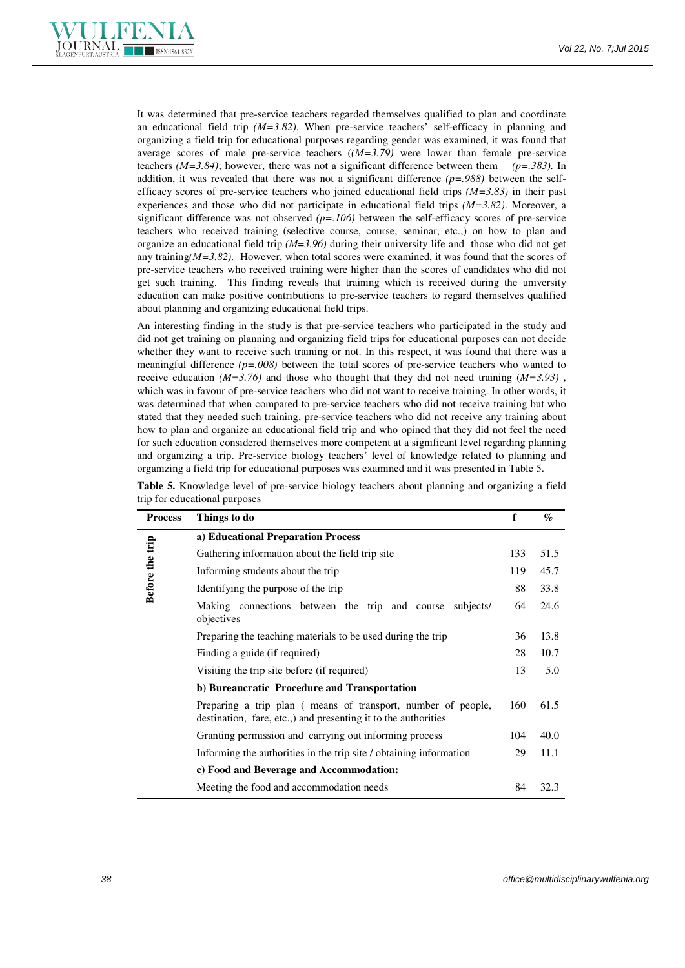

It was determined that pre-service teachers regarded themselves qualified to plan and coordinate an educational field trip *(M=3.82)*. When pre-service teachers' self-efficacy in planning and organizing a field trip for educational purposes regarding gender was examined, it was found that average scores of male pre-service teachers (*(M=3.79)* were lower than female pre-service teachers  $(M=3.84)$ ; however, there was not a significant difference between them  $(p=.383)$ . In addition, it was revealed that there was not a significant difference  $(p=988)$  between the selfefficacy scores of pre-service teachers who joined educational field trips *(M=3.83)* in their past experiences and those who did not participate in educational field trips *(M=3.82)*. Moreover, a significant difference was not observed *(p=.106)* between the self-efficacy scores of pre-service teachers who received training (selective course, course, seminar, etc.,) on how to plan and organize an educational field trip *(M=3.96)* during their university life and those who did not get any training $(M=3.82)$ . However, when total scores were examined, it was found that the scores of pre-service teachers who received training were higher than the scores of candidates who did not get such training. This finding reveals that training which is received during the university education can make positive contributions to pre-service teachers to regard themselves qualified about planning and organizing educational field trips.

An interesting finding in the study is that pre-service teachers who participated in the study and did not get training on planning and organizing field trips for educational purposes can not decide whether they want to receive such training or not. In this respect, it was found that there was a meaningful difference *(p=.008)* between the total scores of pre-service teachers who wanted to receive education  $(M=3.76)$  and those who thought that they did not need training  $(M=3.93)$ . which was in favour of pre-service teachers who did not want to receive training. In other words, it was determined that when compared to pre-service teachers who did not receive training but who stated that they needed such training, pre-service teachers who did not receive any training about how to plan and organize an educational field trip and who opined that they did not feel the need for such education considered themselves more competent at a significant level regarding planning and organizing a trip. Pre-service biology teachers' level of knowledge related to planning and organizing a field trip for educational purposes was examined and it was presented in Table 5.

| <b>Process</b>  | Things to do                                                                                                                   | $\mathbf f$ | $\mathcal{G}_{\mathcal{O}}$ |
|-----------------|--------------------------------------------------------------------------------------------------------------------------------|-------------|-----------------------------|
|                 | a) Educational Preparation Process                                                                                             |             |                             |
|                 | Gathering information about the field trip site                                                                                | 133         | 51.5                        |
|                 | Informing students about the trip                                                                                              | 119         | 45.7                        |
| Before the trip | Identifying the purpose of the trip                                                                                            | 88          | 33.8                        |
|                 | Making connections between the trip and course<br>subjects/<br>objectives                                                      | 64          | 24.6                        |
|                 | Preparing the teaching materials to be used during the trip                                                                    | 36          | 13.8                        |
|                 | Finding a guide (if required)                                                                                                  | 28          | 10.7                        |
|                 | Visiting the trip site before (if required)                                                                                    | 13          | 5.0                         |
|                 | b) Bureaucratic Procedure and Transportation                                                                                   |             |                             |
|                 | Preparing a trip plan (means of transport, number of people,<br>destination, fare, etc.,) and presenting it to the authorities | 160         | 61.5                        |
|                 | Granting permission and carrying out informing process                                                                         | 104         | 40.0                        |
|                 | Informing the authorities in the trip site / obtaining information                                                             | 29          | 11.1                        |
|                 | c) Food and Beverage and Accommodation:                                                                                        |             |                             |
|                 | Meeting the food and accommodation needs                                                                                       | 84          | 32.3                        |

**Table 5.** Knowledge level of pre-service biology teachers about planning and organizing a field trip for educational purposes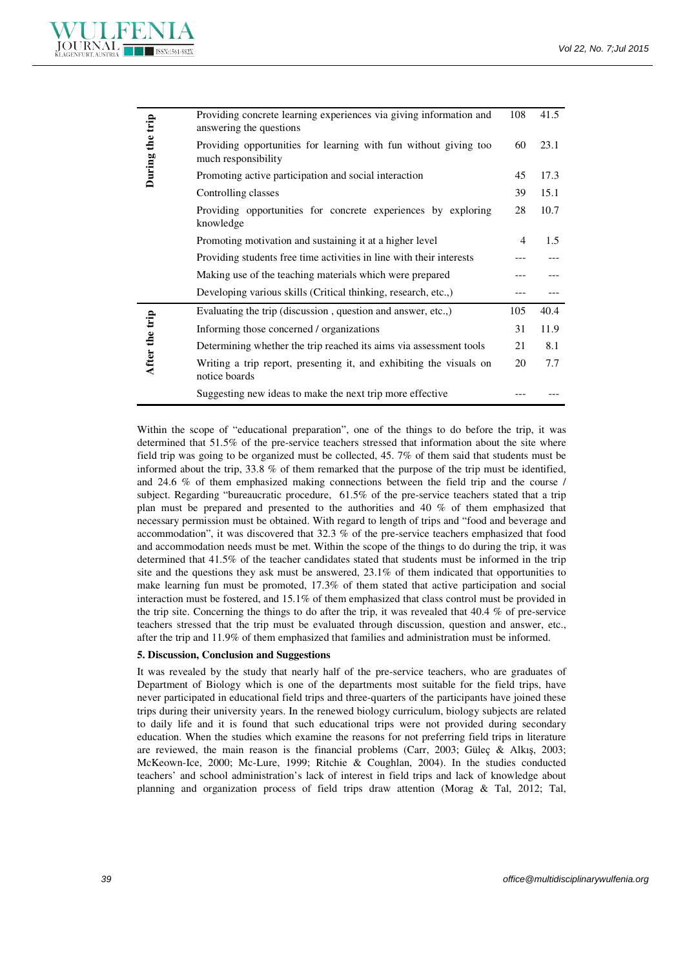

| During the trip | Providing concrete learning experiences via giving information and<br>answering the questions                                                                                                                                                                                                                                                                                                                                                                                                                                                                                                                              | 108            | 41.5 |
|-----------------|----------------------------------------------------------------------------------------------------------------------------------------------------------------------------------------------------------------------------------------------------------------------------------------------------------------------------------------------------------------------------------------------------------------------------------------------------------------------------------------------------------------------------------------------------------------------------------------------------------------------------|----------------|------|
|                 | Providing opportunities for learning with fun without giving too<br>much responsibility                                                                                                                                                                                                                                                                                                                                                                                                                                                                                                                                    | 60             | 23.1 |
|                 | Promoting active participation and social interaction                                                                                                                                                                                                                                                                                                                                                                                                                                                                                                                                                                      | 45             | 17.3 |
|                 | Controlling classes                                                                                                                                                                                                                                                                                                                                                                                                                                                                                                                                                                                                        | 39             | 15.1 |
|                 | Providing opportunities for concrete experiences by exploring<br>knowledge                                                                                                                                                                                                                                                                                                                                                                                                                                                                                                                                                 | 28             | 10.7 |
|                 | Promoting motivation and sustaining it at a higher level                                                                                                                                                                                                                                                                                                                                                                                                                                                                                                                                                                   | $\overline{4}$ | 1.5  |
|                 | Providing students free time activities in line with their interests                                                                                                                                                                                                                                                                                                                                                                                                                                                                                                                                                       |                |      |
|                 | Making use of the teaching materials which were prepared                                                                                                                                                                                                                                                                                                                                                                                                                                                                                                                                                                   |                |      |
|                 | Developing various skills (Critical thinking, research, etc.,)                                                                                                                                                                                                                                                                                                                                                                                                                                                                                                                                                             | ---            |      |
|                 | Evaluating the trip (discussion, question and answer, etc.,)                                                                                                                                                                                                                                                                                                                                                                                                                                                                                                                                                               | 105            | 40.4 |
|                 | Informing those concerned / organizations                                                                                                                                                                                                                                                                                                                                                                                                                                                                                                                                                                                  | 31             | 11.9 |
|                 | Determining whether the trip reached its aims via assessment tools                                                                                                                                                                                                                                                                                                                                                                                                                                                                                                                                                         | 21             | 8.1  |
| After the trip  | Writing a trip report, presenting it, and exhibiting the visuals on<br>notice boards                                                                                                                                                                                                                                                                                                                                                                                                                                                                                                                                       | 20             | 7.7  |
|                 | Suggesting new ideas to make the next trip more effective                                                                                                                                                                                                                                                                                                                                                                                                                                                                                                                                                                  |                |      |
|                 | necessary permission must be obtained. With regard to length of trips and "food and beverage and<br>accommodation", it was discovered that 32.3 % of the pre-service teachers emphasized that food<br>and accommodation needs must be met. Within the scope of the things to do during the trip, it was                                                                                                                                                                                                                                                                                                                    |                |      |
|                 | determined that 41.5% of the teacher candidates stated that students must be informed in the trip<br>site and the questions they ask must be answered, $23.1\%$ of them indicated that opportunities to<br>make learning fun must be promoted, 17.3% of them stated that active participation and social<br>interaction must be fostered, and 15.1% of them emphasized that class control must be provided in<br>the trip site. Concerning the things to do after the trip, it was revealed that 40.4 % of pre-service<br>teachers stressed that the trip must be evaluated through discussion, question and answer, etc., |                |      |
|                 | after the trip and 11.9% of them emphasized that families and administration must be informed.<br>5. Discussion, Conclusion and Suggestions                                                                                                                                                                                                                                                                                                                                                                                                                                                                                |                |      |

### **5. Discussion, Conclusion and Suggestions**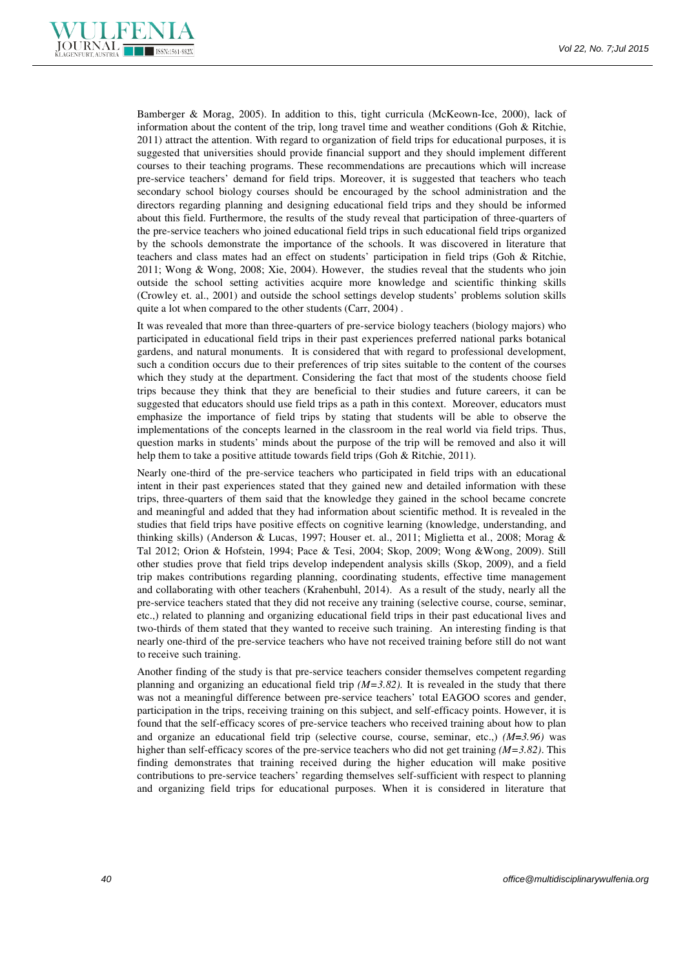

Bamberger & Morag, 2005). In addition to this, tight curricula (McKeown-Ice, 2000), lack of information about the content of the trip, long travel time and weather conditions (Goh  $\&$  Ritchie, 2011) attract the attention. With regard to organization of field trips for educational purposes, it is suggested that universities should provide financial support and they should implement different courses to their teaching programs. These recommendations are precautions which will increase pre-service teachers' demand for field trips. Moreover, it is suggested that teachers who teach secondary school biology courses should be encouraged by the school administration and the directors regarding planning and designing educational field trips and they should be informed about this field. Furthermore, the results of the study reveal that participation of three-quarters of the pre-service teachers who joined educational field trips in such educational field trips organized by the schools demonstrate the importance of the schools. It was discovered in literature that teachers and class mates had an effect on students' participation in field trips (Goh & Ritchie, 2011; Wong & Wong, 2008; Xie, 2004). However, the studies reveal that the students who join outside the school setting activities acquire more knowledge and scientific thinking skills (Crowley et. al., 2001) and outside the school settings develop students' problems solution skills quite a lot when compared to the other students (Carr, 2004) .

It was revealed that more than three-quarters of pre-service biology teachers (biology majors) who participated in educational field trips in their past experiences preferred national parks botanical gardens, and natural monuments. It is considered that with regard to professional development, such a condition occurs due to their preferences of trip sites suitable to the content of the courses which they study at the department. Considering the fact that most of the students choose field trips because they think that they are beneficial to their studies and future careers, it can be suggested that educators should use field trips as a path in this context. Moreover, educators must emphasize the importance of field trips by stating that students will be able to observe the implementations of the concepts learned in the classroom in the real world via field trips. Thus, question marks in students' minds about the purpose of the trip will be removed and also it will help them to take a positive attitude towards field trips (Goh & Ritchie, 2011).

Nearly one-third of the pre-service teachers who participated in field trips with an educational intent in their past experiences stated that they gained new and detailed information with these trips, three-quarters of them said that the knowledge they gained in the school became concrete and meaningful and added that they had information about scientific method. It is revealed in the studies that field trips have positive effects on cognitive learning (knowledge, understanding, and thinking skills) (Anderson & Lucas, 1997; Houser et. al., 2011; Miglietta et al., 2008; Morag & Tal 2012; Orion & Hofstein, 1994; Pace & Tesi, 2004; Skop, 2009; Wong &Wong, 2009). Still other studies prove that field trips develop independent analysis skills (Skop, 2009), and a field trip makes contributions regarding planning, coordinating students, effective time management and collaborating with other teachers (Krahenbuhl, 2014). As a result of the study, nearly all the pre-service teachers stated that they did not receive any training (selective course, course, seminar, etc.,) related to planning and organizing educational field trips in their past educational lives and two-thirds of them stated that they wanted to receive such training. An interesting finding is that nearly one-third of the pre-service teachers who have not received training before still do not want to receive such training.

Another finding of the study is that pre-service teachers consider themselves competent regarding planning and organizing an educational field trip *(M=3.82).* It is revealed in the study that there was not a meaningful difference between pre-service teachers' total EAGOO scores and gender, participation in the trips, receiving training on this subject, and self-efficacy points. However, it is found that the self-efficacy scores of pre-service teachers who received training about how to plan and organize an educational field trip (selective course, course, seminar, etc.,) *(M=3.96)* was higher than self-efficacy scores of the pre-service teachers who did not get training *(M=3.82)*. This finding demonstrates that training received during the higher education will make positive contributions to pre-service teachers' regarding themselves self-sufficient with respect to planning and organizing field trips for educational purposes. When it is considered in literature that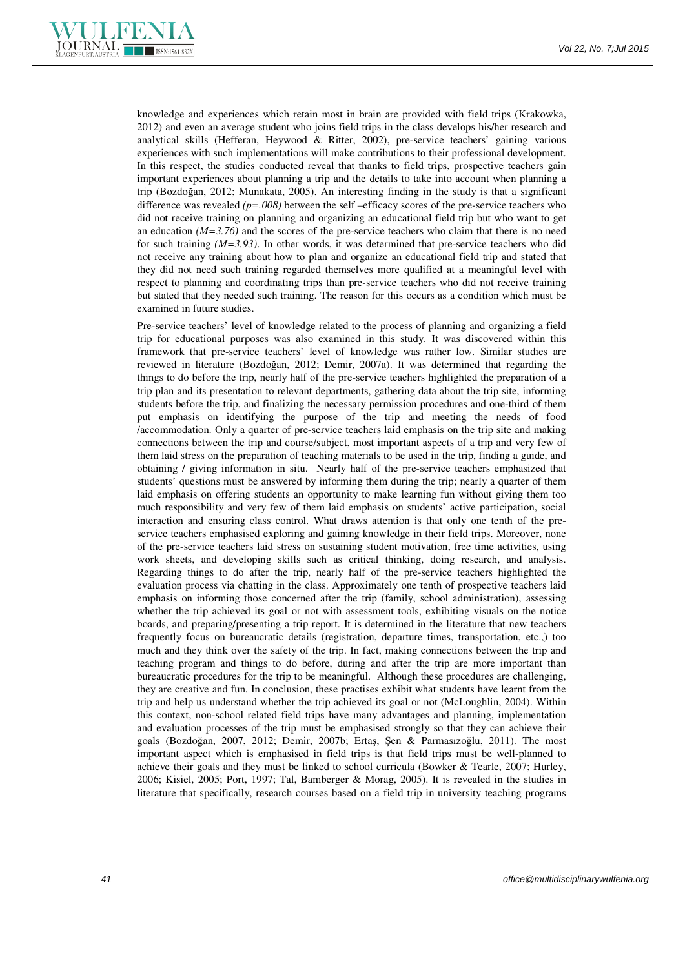

knowledge and experiences which retain most in brain are provided with field trips (Krakowka, 2012) and even an average student who joins field trips in the class develops his/her research and analytical skills (Hefferan, Heywood & Ritter, 2002), pre-service teachers' gaining various experiences with such implementations will make contributions to their professional development. In this respect, the studies conducted reveal that thanks to field trips, prospective teachers gain important experiences about planning a trip and the details to take into account when planning a trip (Bozdoğan, 2012; Munakata, 2005). An interesting finding in the study is that a significant difference was revealed *(p=.008)* between the self –efficacy scores of the pre-service teachers who did not receive training on planning and organizing an educational field trip but who want to get an education  $(M=3.76)$  and the scores of the pre-service teachers who claim that there is no need for such training *(M=3.93)*. In other words, it was determined that pre-service teachers who did not receive any training about how to plan and organize an educational field trip and stated that they did not need such training regarded themselves more qualified at a meaningful level with respect to planning and coordinating trips than pre-service teachers who did not receive training but stated that they needed such training. The reason for this occurs as a condition which must be examined in future studies.

Pre-service teachers' level of knowledge related to the process of planning and organizing a field trip for educational purposes was also examined in this study. It was discovered within this framework that pre-service teachers' level of knowledge was rather low. Similar studies are reviewed in literature (Bozdoğan, 2012; Demir, 2007a). It was determined that regarding the things to do before the trip, nearly half of the pre-service teachers highlighted the preparation of a trip plan and its presentation to relevant departments, gathering data about the trip site, informing students before the trip, and finalizing the necessary permission procedures and one-third of them put emphasis on identifying the purpose of the trip and meeting the needs of food /accommodation. Only a quarter of pre-service teachers laid emphasis on the trip site and making connections between the trip and course/subject, most important aspects of a trip and very few of them laid stress on the preparation of teaching materials to be used in the trip, finding a guide, and obtaining / giving information in situ. Nearly half of the pre-service teachers emphasized that students' questions must be answered by informing them during the trip; nearly a quarter of them laid emphasis on offering students an opportunity to make learning fun without giving them too much responsibility and very few of them laid emphasis on students' active participation, social interaction and ensuring class control. What draws attention is that only one tenth of the preservice teachers emphasised exploring and gaining knowledge in their field trips. Moreover, none of the pre-service teachers laid stress on sustaining student motivation, free time activities, using work sheets, and developing skills such as critical thinking, doing research, and analysis. Regarding things to do after the trip, nearly half of the pre-service teachers highlighted the evaluation process via chatting in the class. Approximately one tenth of prospective teachers laid emphasis on informing those concerned after the trip (family, school administration), assessing whether the trip achieved its goal or not with assessment tools, exhibiting visuals on the notice boards, and preparing/presenting a trip report. It is determined in the literature that new teachers frequently focus on bureaucratic details (registration, departure times, transportation, etc.,) too much and they think over the safety of the trip. In fact, making connections between the trip and teaching program and things to do before, during and after the trip are more important than bureaucratic procedures for the trip to be meaningful. Although these procedures are challenging, they are creative and fun. In conclusion, these practises exhibit what students have learnt from the trip and help us understand whether the trip achieved its goal or not (McLoughlin, 2004). Within this context, non-school related field trips have many advantages and planning, implementation and evaluation processes of the trip must be emphasised strongly so that they can achieve their goals (Bozdoğan, 2007, 2012; Demir, 2007b; Ertaş, Şen & Parmasızoğlu, 2011). The most important aspect which is emphasised in field trips is that field trips must be well-planned to achieve their goals and they must be linked to school curricula (Bowker & Tearle, 2007; Hurley, 2006; Kisiel, 2005; Port, 1997; Tal, Bamberger & Morag, 2005). It is revealed in the studies in literature that specifically, research courses based on a field trip in university teaching programs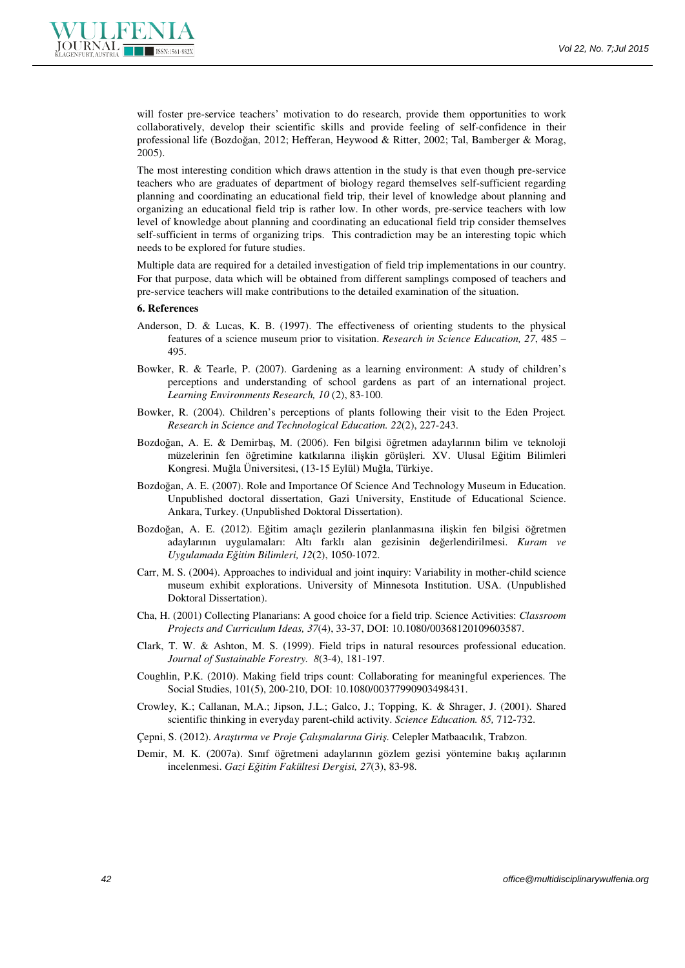

will foster pre-service teachers' motivation to do research, provide them opportunities to work collaboratively, develop their scientific skills and provide feeling of self-confidence in their professional life (Bozdoğan, 2012; Hefferan, Heywood & Ritter, 2002; Tal, Bamberger & Morag, 2005).

The most interesting condition which draws attention in the study is that even though pre-service teachers who are graduates of department of biology regard themselves self-sufficient regarding planning and coordinating an educational field trip, their level of knowledge about planning and organizing an educational field trip is rather low. In other words, pre-service teachers with low level of knowledge about planning and coordinating an educational field trip consider themselves self-sufficient in terms of organizing trips. This contradiction may be an interesting topic which needs to be explored for future studies.

Multiple data are required for a detailed investigation of field trip implementations in our country. For that purpose, data which will be obtained from different samplings composed of teachers and pre-service teachers will make contributions to the detailed examination of the situation.

#### **6. References**

- Anderson, D. & Lucas, K. B. (1997). The effectiveness of orienting students to the physical features of a science museum prior to visitation. *Research in Science Education, 27*, 485 – 495.
- Bowker, R. & Tearle, P. (2007). Gardening as a learning environment: A study of children's perceptions and understanding of school gardens as part of an international project. *Learning Environments Research, 10* (2), 83-100.
- Bowker, R. (2004). Children's perceptions of plants following their visit to the Eden Project*. Research in Science and Technological Education. 22*(2), 227-243.
- Bozdoğan, A. E. & Demirbaş, M. (2006). Fen bilgisi öğretmen adaylarının bilim ve teknoloji müzelerinin fen öğretimine katkılarına ilişkin görüşleri*.* XV. Ulusal Eğitim Bilimleri Kongresi. Muğla Üniversitesi, (13-15 Eylül) Muğla, Türkiye.
- Bozdoğan, A. E. (2007). Role and Importance Of Science And Technology Museum in Education. Unpublished doctoral dissertation, Gazi University, Enstitude of Educational Science. Ankara, Turkey. (Unpublished Doktoral Dissertation).
- Bozdoğan, A. E. (2012). Eğitim amaçlı gezilerin planlanmasına ilişkin fen bilgisi öğretmen adaylarının uygulamaları: Altı farklı alan gezisinin değerlendirilmesi. *Kuram ve Uygulamada Eğitim Bilimleri, 12*(2), 1050-1072.
- Carr, M. S. (2004). Approaches to individual and joint inquiry: Variability in mother-child science museum exhibit explorations. University of Minnesota Institution. USA. (Unpublished Doktoral Dissertation).
- Cha, H. (2001) Collecting Planarians: A good choice for a field trip. Science Activities: *Classroom Projects and Curriculum Ideas, 37*(4), 33-37, DOI: 10.1080/00368120109603587.
- Clark, T. W. & Ashton, M. S. (1999). Field trips in natural resources professional education. *Journal of Sustainable Forestry. 8*(3-4), 181-197.
- Coughlin, P.K. (2010). Making field trips count: Collaborating for meaningful experiences. The Social Studies, 101(5), 200-210, DOI: 10.1080/00377990903498431.
- Crowley, K.; Callanan, M.A.; Jipson, J.L.; Galco, J.; Topping, K. & Shrager, J. (2001). Shared scientific thinking in everyday parent-child activity. *Science Education. 85,* 712-732.
- Çepni, S. (2012). *Araştırma ve Proje Çalışmalarına Giriş.* Celepler Matbaacılık, Trabzon.
- Demir, M. K. (2007a). Sınıf öğretmeni adaylarının gözlem gezisi yöntemine bakış açılarının incelenmesi. *Gazi Eğitim Fakültesi Dergisi, 27*(3), 83-98.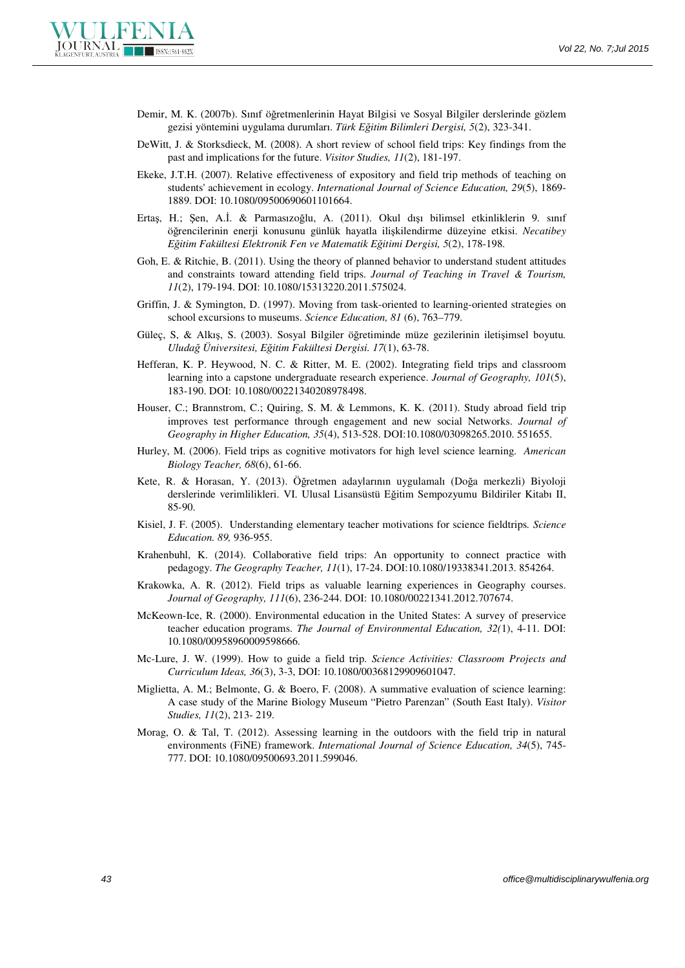

- Demir, M. K. (2007b). Sınıf öğretmenlerinin Hayat Bilgisi ve Sosyal Bilgiler derslerinde gözlem gezisi yöntemini uygulama durumları. *Türk Eğitim Bilimleri Dergisi, 5*(2), 323-341.
- DeWitt, J. & Storksdieck, M. (2008). A short review of school field trips: Key findings from the past and implications for the future. *Visitor Studies, 11*(2), 181-197.
- Ekeke, J.T.H. (2007). Relative effectiveness of expository and field trip methods of teaching on students' achievement in ecology. *International Journal of Science Education, 29*(5), 1869- 1889. DOI: 10.1080/09500690601101664.
- Ertaş, H.; Şen, A.İ. & Parmasızoğlu, A. (2011). Okul dışı bilimsel etkinliklerin 9. sınıf öğrencilerinin enerji konusunu günlük hayatla ilişkilendirme düzeyine etkisi. *Necatibey Eğitim Fakültesi Elektronik Fen ve Matematik Eğitimi Dergisi, 5*(2), 178-198.
- Goh, E. & Ritchie, B. (2011). Using the theory of planned behavior to understand student attitudes and constraints toward attending field trips. *Journal of Teaching in Travel & Tourism, 11*(2), 179-194. DOI: 10.1080/15313220.2011.575024.
- Griffin, J. & Symington, D. (1997). Moving from task-oriented to learning-oriented strategies on school excursions to museums. *Science Education, 81* (6), 763–779.
- Güleç, S, & Alkış, S. (2003). Sosyal Bilgiler öğretiminde müze gezilerinin iletişimsel boyutu*. Uludağ Üniversitesi, Eğitim Fakültesi Dergisi. 17*(1), 63-78.
- Hefferan, K. P. Heywood, N. C. & Ritter, M. E. (2002). Integrating field trips and classroom learning into a capstone undergraduate research experience. *Journal of Geography, 101*(5), 183-190. DOI: 10.1080/00221340208978498.
- Houser, C.; Brannstrom, C.; Quiring, S. M. & Lemmons, K. K. (2011). Study abroad field trip improves test performance through engagement and new social Networks. *Journal of Geography in Higher Education, 35*(4), 513-528. DOI:10.1080/03098265.2010. 551655.
- Hurley, M. (2006). Field trips as cognitive motivators for high level science learning. *American Biology Teacher, 68*(6), 61-66.
- Kete, R. & Horasan, Y. (2013). Öğretmen adaylarının uygulamalı (Doğa merkezli) Biyoloji derslerinde verimlilikleri. VI. Ulusal Lisansüstü Eğitim Sempozyumu Bildiriler Kitabı II, 85-90.
- Kisiel, J. F. (2005). Understanding elementary teacher motivations for science fieldtrips*. Science Education. 89,* 936-955.
- Krahenbuhl, K. (2014). Collaborative field trips: An opportunity to connect practice with pedagogy. *The Geography Teacher, 11*(1), 17-24. DOI:10.1080/19338341.2013. 854264.
- Krakowka, A. R. (2012). Field trips as valuable learning experiences in Geography courses. *Journal of Geography, 111*(6), 236-244. DOI: 10.1080/00221341.2012.707674.
- McKeown-Ice, R. (2000). Environmental education in the United States: A survey of preservice teacher education programs. *The Journal of Environmental Education, 32(*1), 4-11. DOI: 10.1080/00958960009598666.
- Mc-Lure, J. W. (1999). How to guide a field trip. *Science Activities: Classroom Projects and Curriculum Ideas, 36*(3), 3-3, DOI: 10.1080/00368129909601047.
- Miglietta, A. M.; Belmonte, G. & Boero, F. (2008). A summative evaluation of science learning: A case study of the Marine Biology Museum "Pietro Parenzan" (South East Italy). *Visitor Studies, 11*(2), 213- 219.
- Morag, O. & Tal, T. (2012). Assessing learning in the outdoors with the field trip in natural environments (FiNE) framework. *International Journal of Science Education, 34*(5), 745- 777. DOI: 10.1080/09500693.2011.599046.